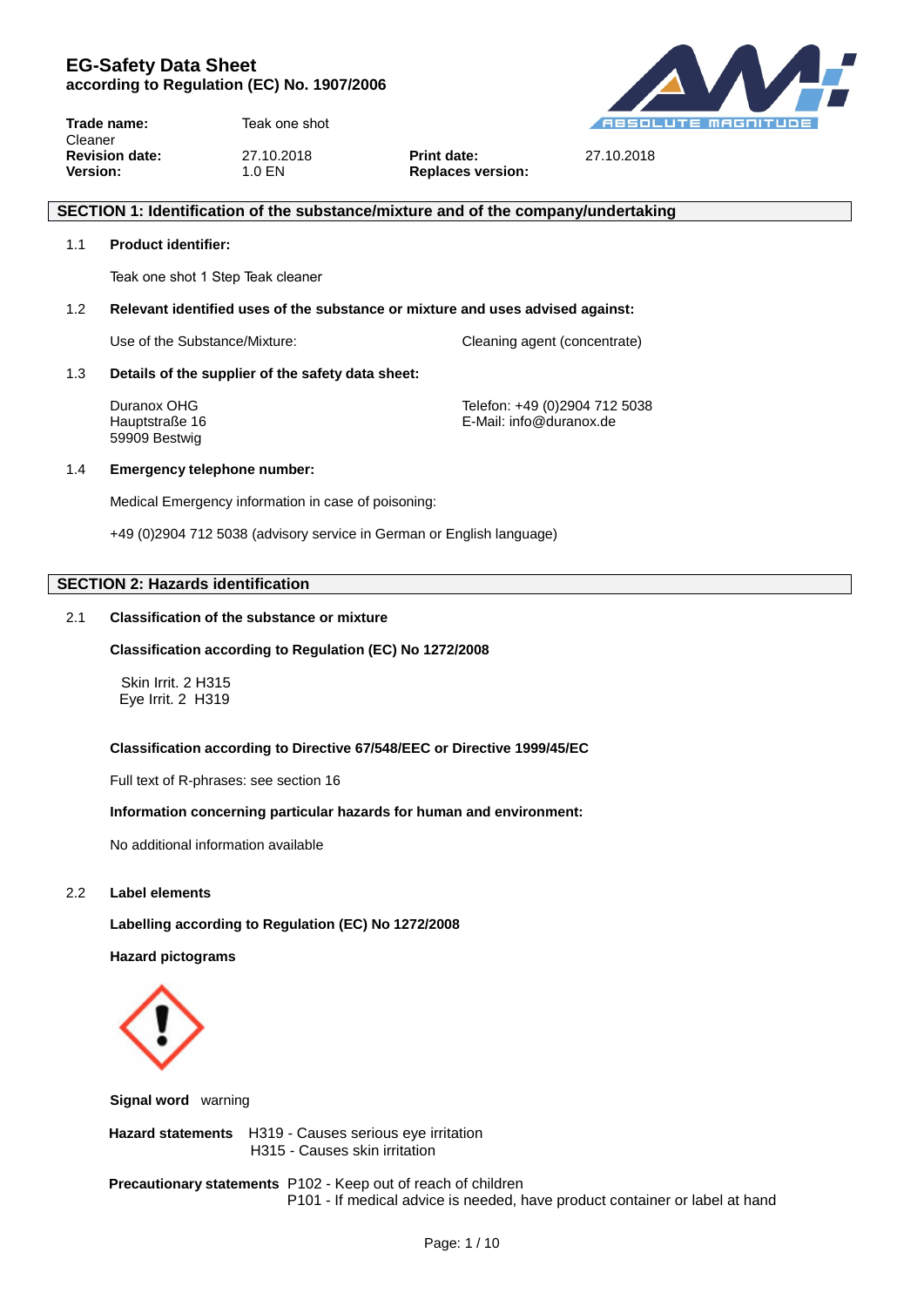

**Trade name:** TeakUnique 1 Step Teak Cleaner **Revision date:** 27.10.2018 **Print date:** 27.10.2018 **Version:** 1.0 EN **Replaces version:** 

## **SECTION 1: Identification of the substance/mixture and of the company/undertaking**

## 1.1 **Product identifier:**

TeakUnique 1 Step Teak cleaner

#### 1.2 **Relevant identified uses of the substance or mixture and uses advised against:**

Use of the Substance/Mixture: Cleaning agent (concentrate)

#### 1.3 **Details of the supplier of the safety data sheet:**

59909 Bestwig

Duranox OHG Telefon: +49 (0)2904 712 5038 Hauptstraße 16 **E-Mail:** info@duranox.de

#### 1.4 **Emergency telephone number:**

Medical Emergency information in case of poisoning:

+49 (0)2904 712 5038 (advisory service in German or English language)

## **SECTION 2: Hazards identification**

## 2.1 **Classification of the substance or mixture**

#### **Classification according to Regulation (EC) No 1272/2008**

Skin Irrit. 2 H315 Eye Irrit. 2 H319

#### **Classification according to Directive 67/548/EEC or Directive 1999/45/EC**

Full text of R-phrases: see section 16

#### **Information concerning particular hazards for human and environment:**

No additional information available

## 2.2 **Label elements**

**Labelling according to Regulation (EC) No 1272/2008**

**Hazard pictograms**



**Signal word** warning

 **Hazard statements** H319 - Causes serious eye irritation H315 - Causes skin irritation

 **Precautionary statements** P102 - Keep out of reach of children P101 - If medical advice is needed, have product container or label at hand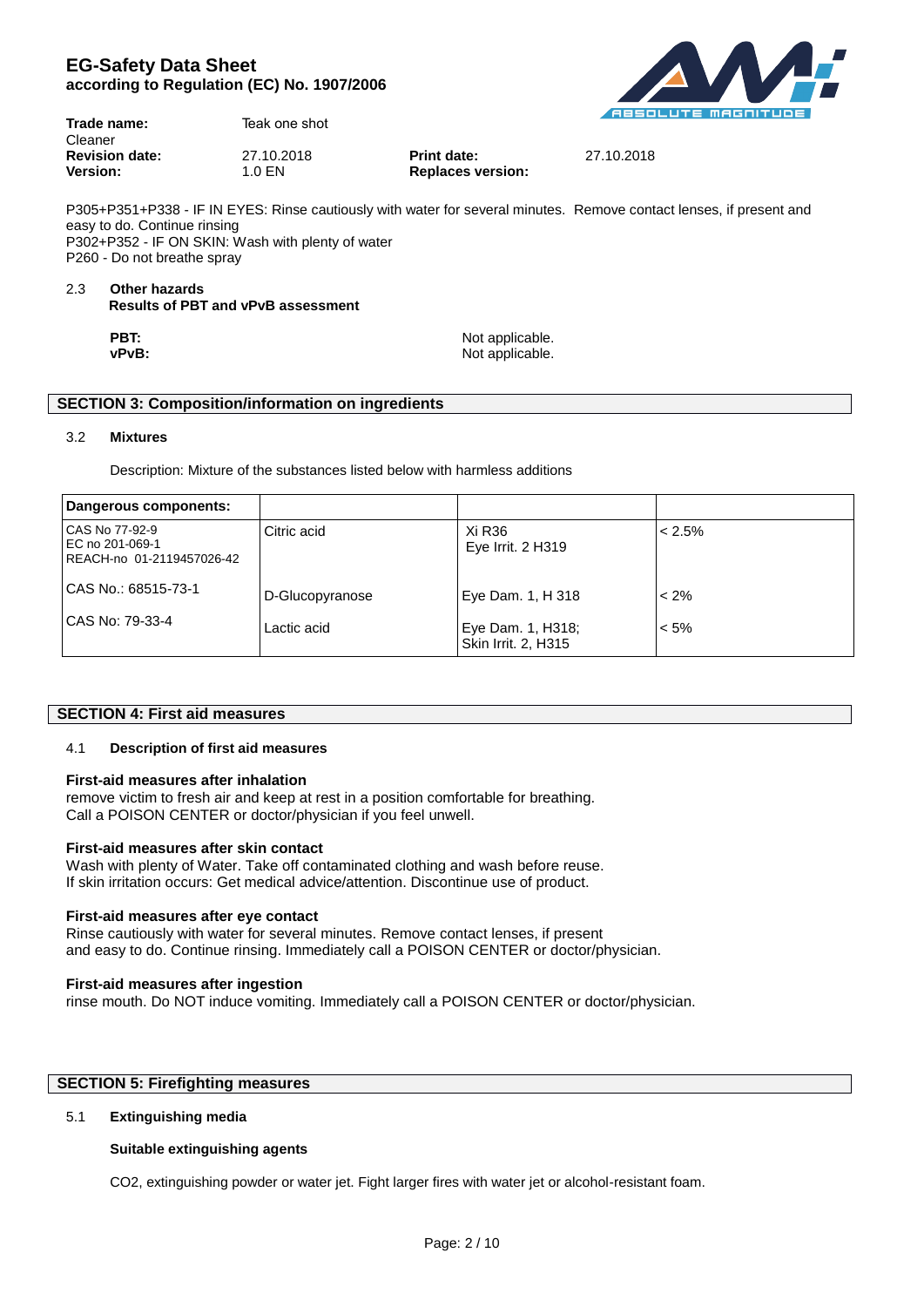

| Trade name:<br>Cleaner | TeakUnique 1 Step Teak |                          |            |
|------------------------|------------------------|--------------------------|------------|
| <b>Revision date:</b>  | 27.10.2018             | <b>Print date:</b>       | 27.10.2018 |
| <b>Version:</b>        | 1.0 EN                 | <b>Replaces version:</b> |            |

P305+P351+P338 - IF IN EYES: Rinse cautiously with water for several minutes. Remove contact lenses, if present and easy to do. Continue rinsing P302+P352 - IF ON SKIN: Wash with plenty of water P260 - Do not breathe spray

#### 2.3 **Other hazards Results of PBT and vPvB assessment**

| PBT:  | Not applicable. |
|-------|-----------------|
| vPvB: | Not applicable. |

## **SECTION 3: Composition/information on ingredients**

## 3.2 **Mixtures**

Description: Mixture of the substances listed below with harmless additions

| Dangerous components:                                          |                 |                                          |           |
|----------------------------------------------------------------|-----------------|------------------------------------------|-----------|
| CAS No 77-92-9<br>EC no 201-069-1<br>REACH-no 01-2119457026-42 | Citric acid     | Xi R36<br>Eye Irrit. 2 H319              | $< 2.5\%$ |
| CAS No.: 68515-73-1                                            | D-Glucopyranose | Eye Dam. 1, H 318                        | $< 2\%$   |
| CAS No: 79-33-4                                                | Lactic acid     | Eye Dam. 1, H318;<br>Skin Irrit. 2, H315 | $< 5\%$   |

## **SECTION 4: First aid measures**

## 4.1 **Description of first aid measures**

## **First-aid measures after inhalation**

remove victim to fresh air and keep at rest in a position comfortable for breathing. Call a POISON CENTER or doctor/physician if you feel unwell.

## **First-aid measures after skin contact**

Wash with plenty of Water. Take off contaminated clothing and wash before reuse. If skin irritation occurs: Get medical advice/attention. Discontinue use of product.

## **First-aid measures after eye contact**

Rinse cautiously with water for several minutes. Remove contact lenses, if present and easy to do. Continue rinsing. Immediately call a POISON CENTER or doctor/physician.

## **First-aid measures after ingestion**

rinse mouth. Do NOT induce vomiting. Immediately call a POISON CENTER or doctor/physician.

## **SECTION 5: Firefighting measures**

## 5.1 **Extinguishing media**

## **Suitable extinguishing agents**

CO2, extinguishing powder or water jet. Fight larger fires with water jet or alcohol-resistant foam.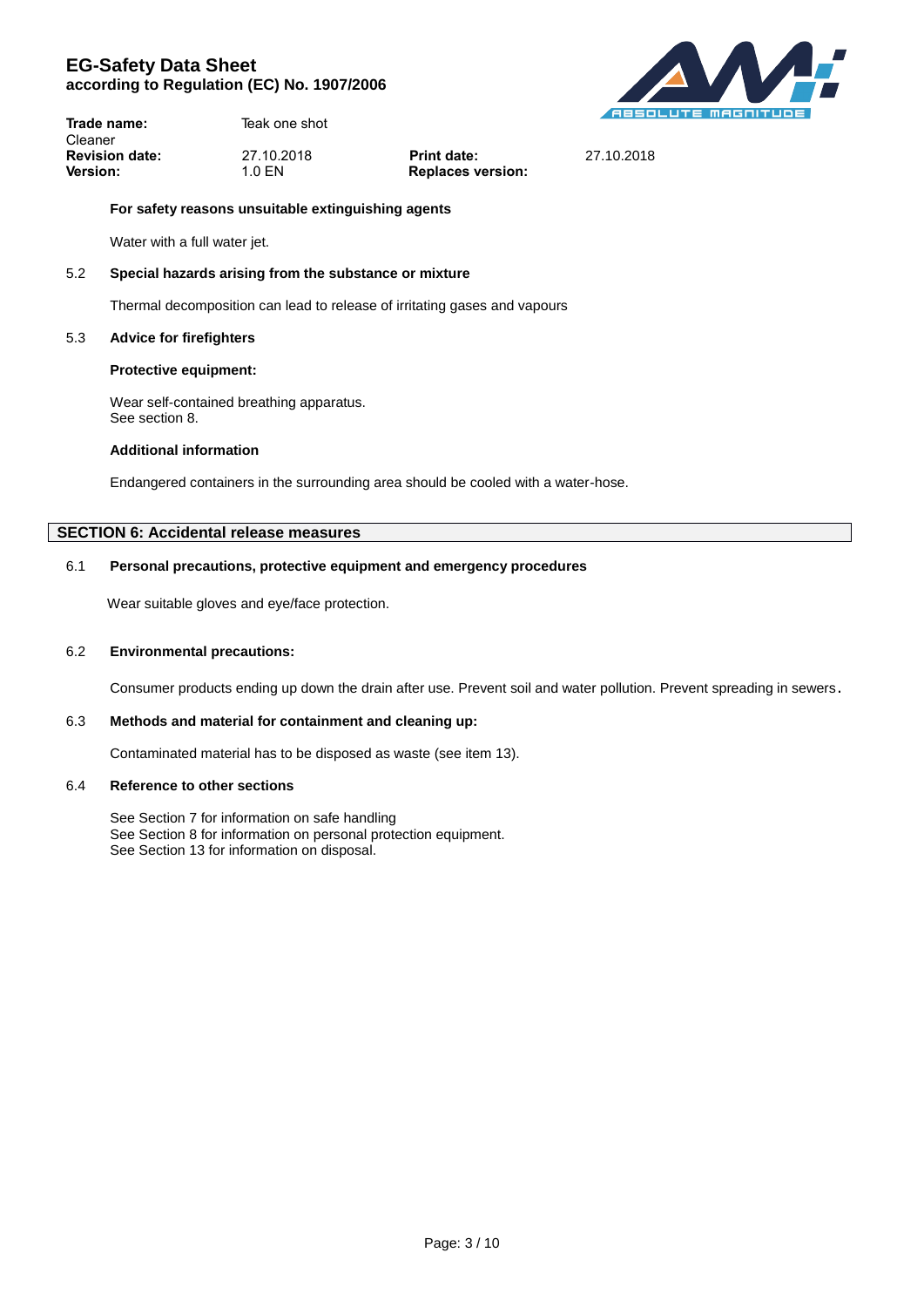**DUIANOX** 

**Trade name:** TeakUnique 1 Step Teak Cleaner **Revision date:** 27.10.2018 **Print date:** 27.10.2018 **Version:** 1.0 EN **Replaces version:** 

## **For safety reasons unsuitable extinguishing agents**

Water with a full water jet.

## 5.2 **Special hazards arising from the substance or mixture**

Thermal decomposition can lead to release of irritating gases and vapours

## 5.3 **Advice for firefighters**

## **Protective equipment:**

Wear self-contained breathing apparatus. See section 8.

## **Additional information**

Endangered containers in the surrounding area should be cooled with a water-hose.

## **SECTION 6: Accidental release measures**

## 6.1 **Personal precautions, protective equipment and emergency procedures**

Wear suitable gloves and eye/face protection.

## 6.2 **Environmental precautions:**

Consumer products ending up down the drain after use. Prevent soil and water pollution. Prevent spreading in sewers.

## 6.3 **Methods and material for containment and cleaning up:**

Contaminated material has to be disposed as waste (see item 13).

## 6.4 **Reference to other sections**

See Section 7 for information on safe handling See Section 8 for information on personal protection equipment. See Section 13 for information on disposal.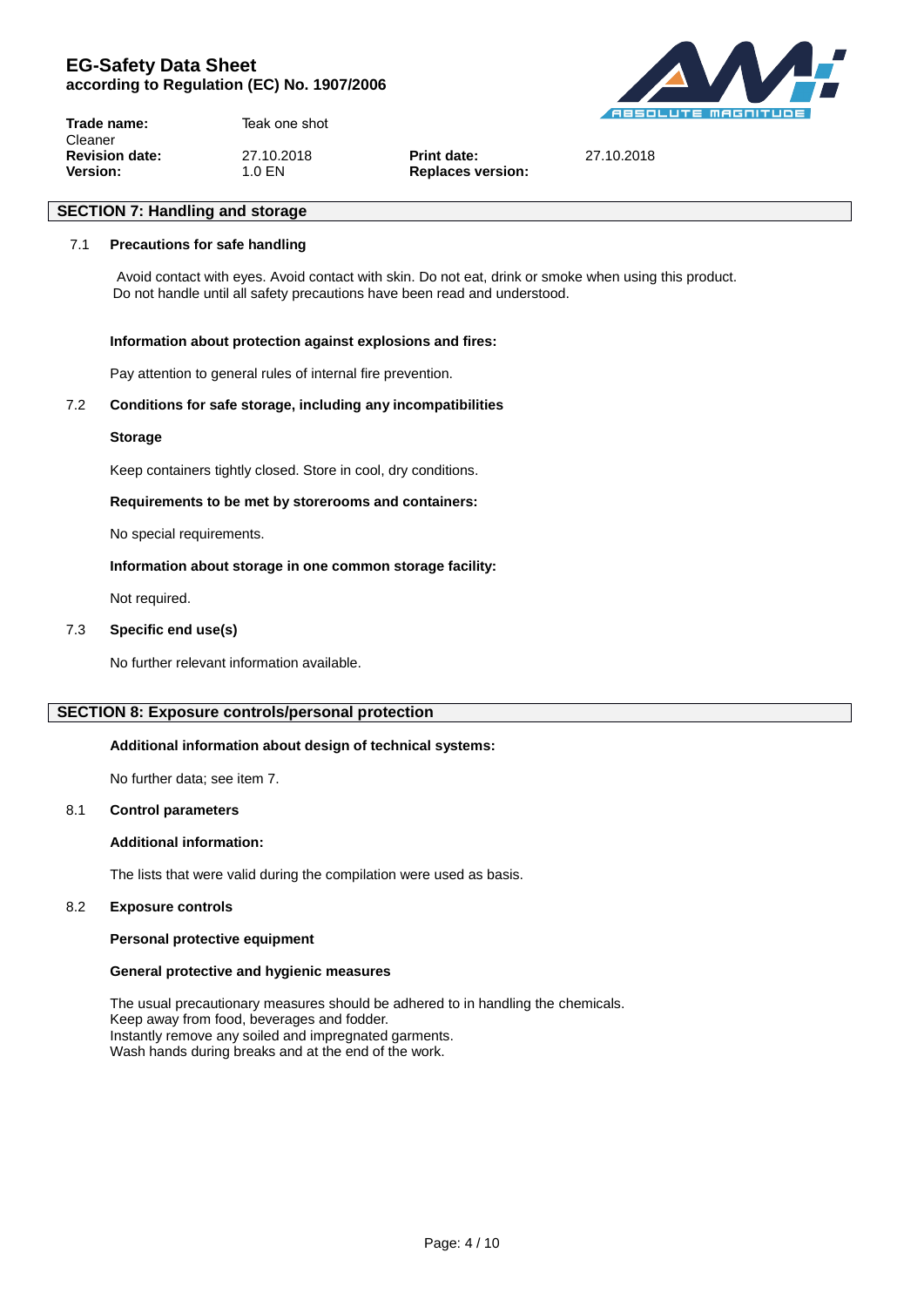**Trade name:** TeakUnique 1 Step Teak Cleaner **Revision date:** 27.10.2018 **Print date:** 27.10.2018 **Version:** 1.0 EN **Replaces version:** 

# **SECTION 7: Handling and storage** 7.1 **Precautions for safe handling**

 Avoid contact with eyes. Avoid contact with skin. Do not eat, drink or smoke when using this product. Do not handle until all safety precautions have been read and understood.

## **Information about protection against explosions and fires:**

Pay attention to general rules of internal fire prevention.

## 7.2 **Conditions for safe storage, including any incompatibilities**

## **Storage**

Keep containers tightly closed. Store in cool, dry conditions.

## **Requirements to be met by storerooms and containers:**

No special requirements.

## **Information about storage in one common storage facility:**

Not required.

## 7.3 **Specific end use(s)**

No further relevant information available.

## **SECTION 8: Exposure controls/personal protection**

## **Additional information about design of technical systems:**

No further data; see item 7.

## 8.1 **Control parameters**

## **Additional information:**

The lists that were valid during the compilation were used as basis.

## 8.2 **Exposure controls**

## **Personal protective equipment**

## **General protective and hygienic measures**

The usual precautionary measures should be adhered to in handling the chemicals. Keep away from food, beverages and fodder. Instantly remove any soiled and impregnated garments. Wash hands during breaks and at the end of the work.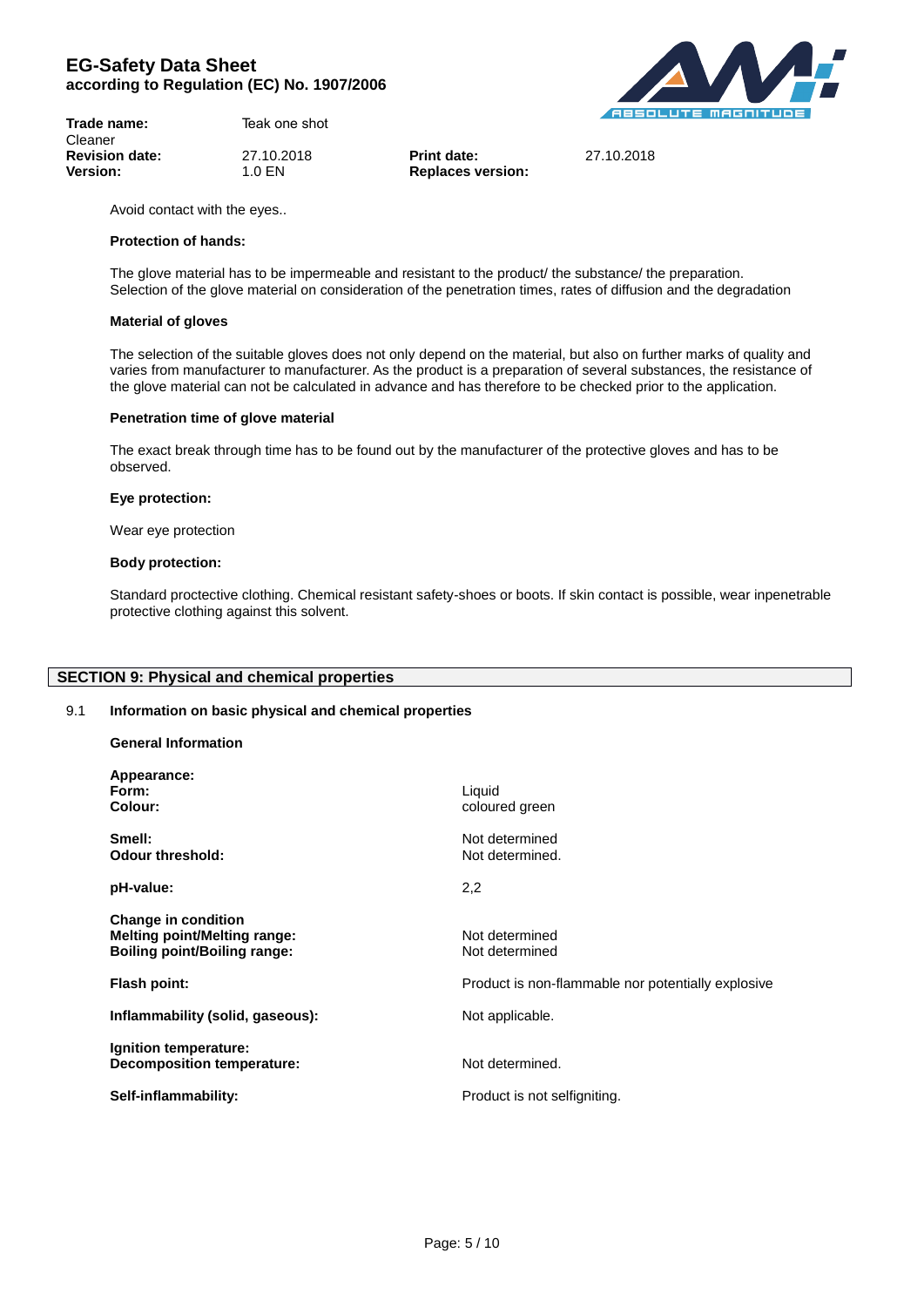| Trade name:           | TeakUnique 1 Step Teak |
|-----------------------|------------------------|
| Cleaner               |                        |
| <b>Revision date:</b> | 27.10.2018             |
| <b>Version:</b>       | 1.0 EN                 |



**Revision date:** 27.10.2018 **Print date:** 27.10.2018

Avoid contact with the eyes..

#### **Protection of hands:**

The glove material has to be impermeable and resistant to the product/ the substance/ the preparation. Selection of the glove material on consideration of the penetration times, rates of diffusion and the degradation

**Replaces version:** 

#### **Material of gloves**

The selection of the suitable gloves does not only depend on the material, but also on further marks of quality and varies from manufacturer to manufacturer. As the product is a preparation of several substances, the resistance of the glove material can not be calculated in advance and has therefore to be checked prior to the application.

#### **Penetration time of glove material**

The exact break through time has to be found out by the manufacturer of the protective gloves and has to be observed.

#### **Eye protection:**

Wear eye protection

#### **Body protection:**

**General Information**

Standard proctective clothing. Chemical resistant safety-shoes or boots. If skin contact is possible, wear inpenetrable protective clothing against this solvent.

## **SECTION 9: Physical and chemical properties**

## 9.1 **Information on basic physical and chemical properties**

| Appearance:<br>Form:<br>Colour:                                                                          | Liquid<br>coloured green                           |
|----------------------------------------------------------------------------------------------------------|----------------------------------------------------|
| Smell:<br><b>Odour threshold:</b>                                                                        | Not determined<br>Not determined.                  |
| pH-value:                                                                                                | 2,2                                                |
| <b>Change in condition</b><br><b>Melting point/Melting range:</b><br><b>Boiling point/Boiling range:</b> | Not determined<br>Not determined                   |
| Flash point:                                                                                             | Product is non-flammable nor potentially explosive |
| Inflammability (solid, gaseous):                                                                         | Not applicable.                                    |
| Ignition temperature:<br>Decomposition temperature:                                                      | Not determined.                                    |
| Self-inflammability:                                                                                     | Product is not selfigniting.                       |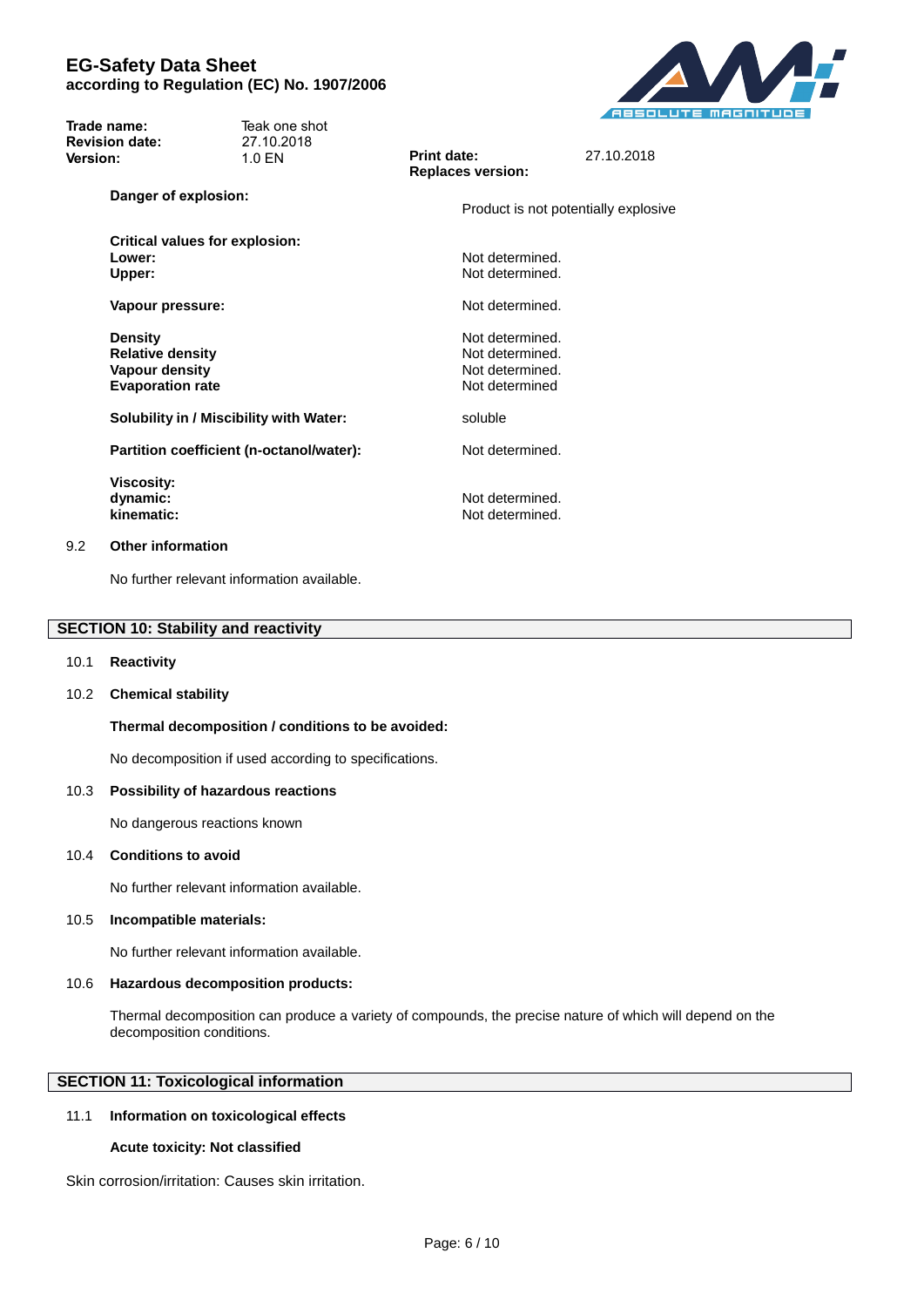

| Trade name:<br>Cleaner                      | TeakUnique 1 Step Teak                   |                                    |                                      |
|---------------------------------------------|------------------------------------------|------------------------------------|--------------------------------------|
| <b>Revision date:</b>                       | 27.10.2018                               | Print date:                        | 27.10.2018                           |
| <b>Version:</b>                             | 1.0 EN                                   | <b>Replaces version:</b>           |                                      |
| Danger of explosion:                        |                                          |                                    | Product is not potentially explosive |
|                                             | <b>Critical values for explosion:</b>    |                                    |                                      |
| Lower:                                      |                                          | Not determined.                    |                                      |
| Upper:                                      |                                          | Not determined.                    |                                      |
| Vapour pressure:                            |                                          | Not determined.                    |                                      |
| <b>Density</b>                              |                                          | Not determined.                    |                                      |
| <b>Relative density</b>                     |                                          | Not determined.                    |                                      |
| <b>Vapour density</b>                       |                                          | Not determined.                    |                                      |
| <b>Evaporation rate</b>                     |                                          | Not determined                     |                                      |
|                                             | Solubility in / Miscibility with Water:  | soluble                            |                                      |
|                                             | Partition coefficient (n-octanol/water): | Not determined.                    |                                      |
| <b>Viscosity:</b><br>dynamic:<br>kinematic: |                                          | Not determined.<br>Not determined. |                                      |

## 9.2 **Other information**

No further relevant information available.

## **SECTION 10: Stability and reactivity**

#### 10.1 **Reactivity**

## 10.2 **Chemical stability**

## **Thermal decomposition / conditions to be avoided:**

No decomposition if used according to specifications.

## 10.3 **Possibility of hazardous reactions**

No dangerous reactions known

#### 10.4 **Conditions to avoid**

No further relevant information available.

#### 10.5 **Incompatible materials:**

No further relevant information available.

#### 10.6 **Hazardous decomposition products:**

Thermal decomposition can produce a variety of compounds, the precise nature of which will depend on the decomposition conditions.

## **SECTION 11: Toxicological information**

## 11.1 **Information on toxicological effects**

## **Acute toxicity: Not classified**

Skin corrosion/irritation: Causes skin irritation.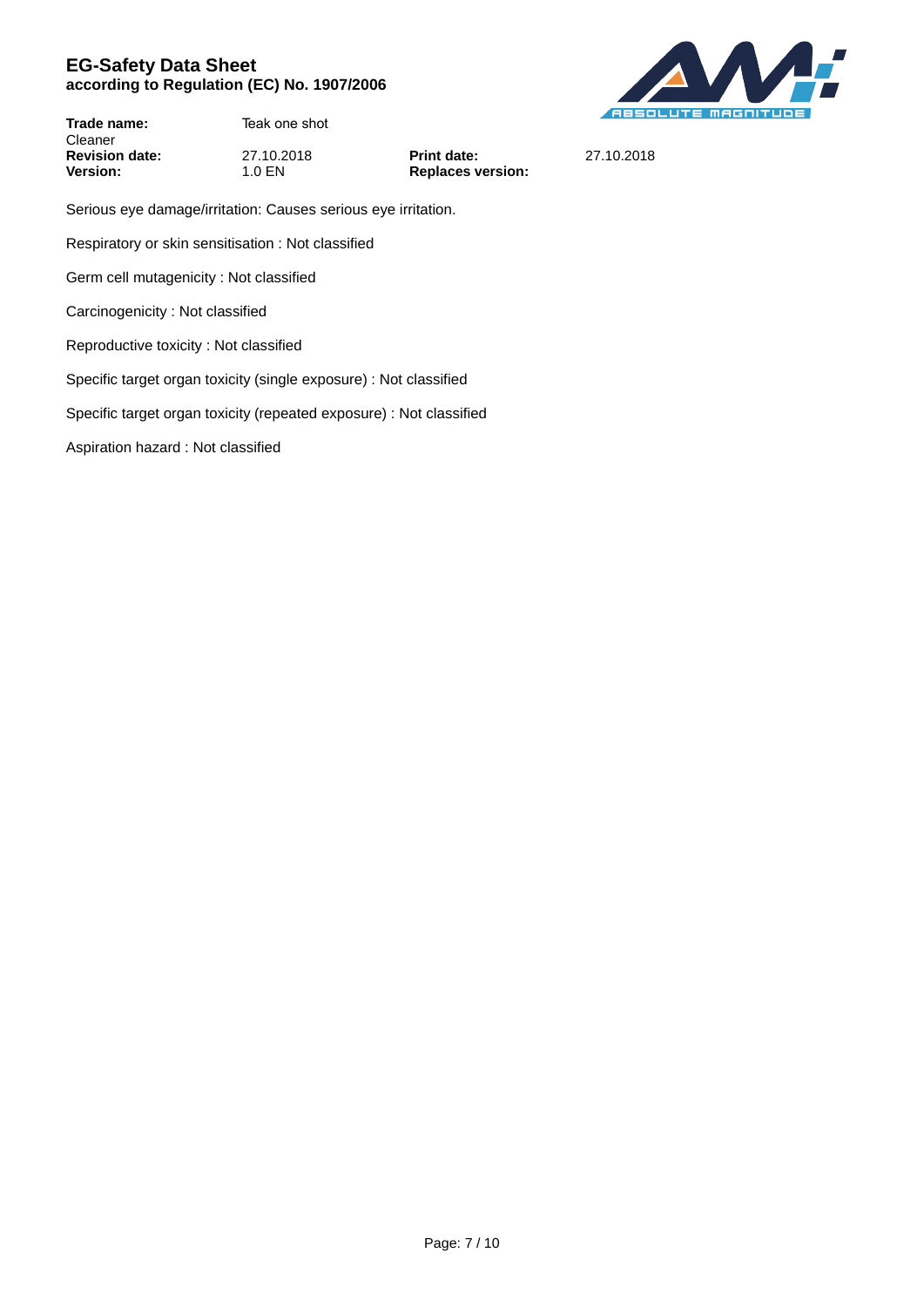

**Trade name:** TeakUnique 1 Step Teak Cleaner **Revision date:** 27.10.2018 **Print date:** 27.10.2018<br> **Version:** 27.10.2018 **Print date:** 27.10.2018

**Replaces version:** 

Serious eye damage/irritation: Causes serious eye irritation.

Respiratory or skin sensitisation : Not classified

Germ cell mutagenicity : Not classified

Carcinogenicity : Not classified

Reproductive toxicity : Not classified

Specific target organ toxicity (single exposure) : Not classified

Specific target organ toxicity (repeated exposure) : Not classified

Aspiration hazard : Not classified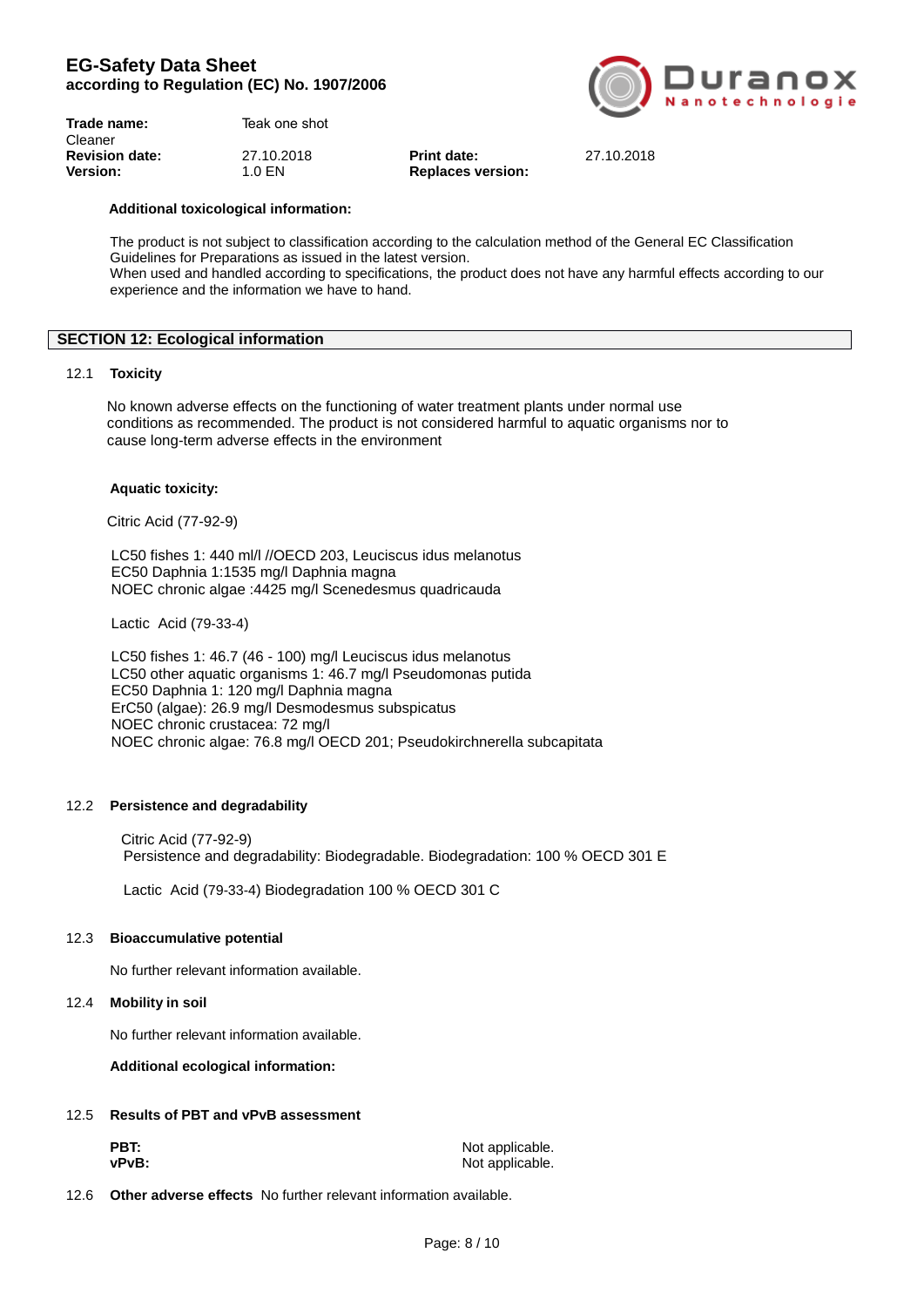| $\overline{(\odot)}$ Duranox |  |                 |
|------------------------------|--|-----------------|
|                              |  | Nanotechnologie |

| TeakUnique 1 Step Teak |     |  |
|------------------------|-----|--|
|                        |     |  |
| 27.10.2018             | Pri |  |
| $1.0$ EN               | Re  |  |
|                        |     |  |

**Revision date:** 27.10.2018 **Print date:** 27.10.2018 **Version:** 1.0 EN **Replaces version:**

## **Additional toxicological information:**

The product is not subject to classification according to the calculation method of the General EC Classification Guidelines for Preparations as issued in the latest version. When used and handled according to specifications, the product does not have any harmful effects according to our experience and the information we have to hand.

## **SECTION 12: Ecological information**

## 12.1 **Toxicity**

 No known adverse effects on the functioning of water treatment plants under normal use conditions as recommended. The product is not considered harmful to aquatic organisms nor to cause long-term adverse effects in the environment

## **Aquatic toxicity:**

Citric Acid (77-92-9)

 LC50 fishes 1: 440 ml/l //OECD 203, Leuciscus idus melanotus EC50 Daphnia 1:1535 mg/l Daphnia magna NOEC chronic algae :4425 mg/l Scenedesmus quadricauda

Lactic Acid (79-33-4)

 LC50 fishes 1: 46.7 (46 - 100) mg/l Leuciscus idus melanotus LC50 other aquatic organisms 1: 46.7 mg/l Pseudomonas putida EC50 Daphnia 1: 120 mg/l Daphnia magna ErC50 (algae): 26.9 mg/l Desmodesmus subspicatus NOEC chronic crustacea: 72 mg/l NOEC chronic algae: 76.8 mg/l OECD 201; Pseudokirchnerella subcapitata

## 12.2 **Persistence and degradability**

Citric Acid (77-92-9) Persistence and degradability: Biodegradable. Biodegradation: 100 % OECD 301 E

Lactic Acid (79-33-4) Biodegradation 100 % OECD 301 C

## 12.3 **Bioaccumulative potential**

No further relevant information available.

## 12.4 **Mobility in soil**

No further relevant information available.

**Additional ecological information:**

## 12.5 **Results of PBT and vPvB assessment**

| PBT:  | Not applicable. |
|-------|-----------------|
| vPvB: | Not applicable. |

12.6 **Other adverse effects** No further relevant information available.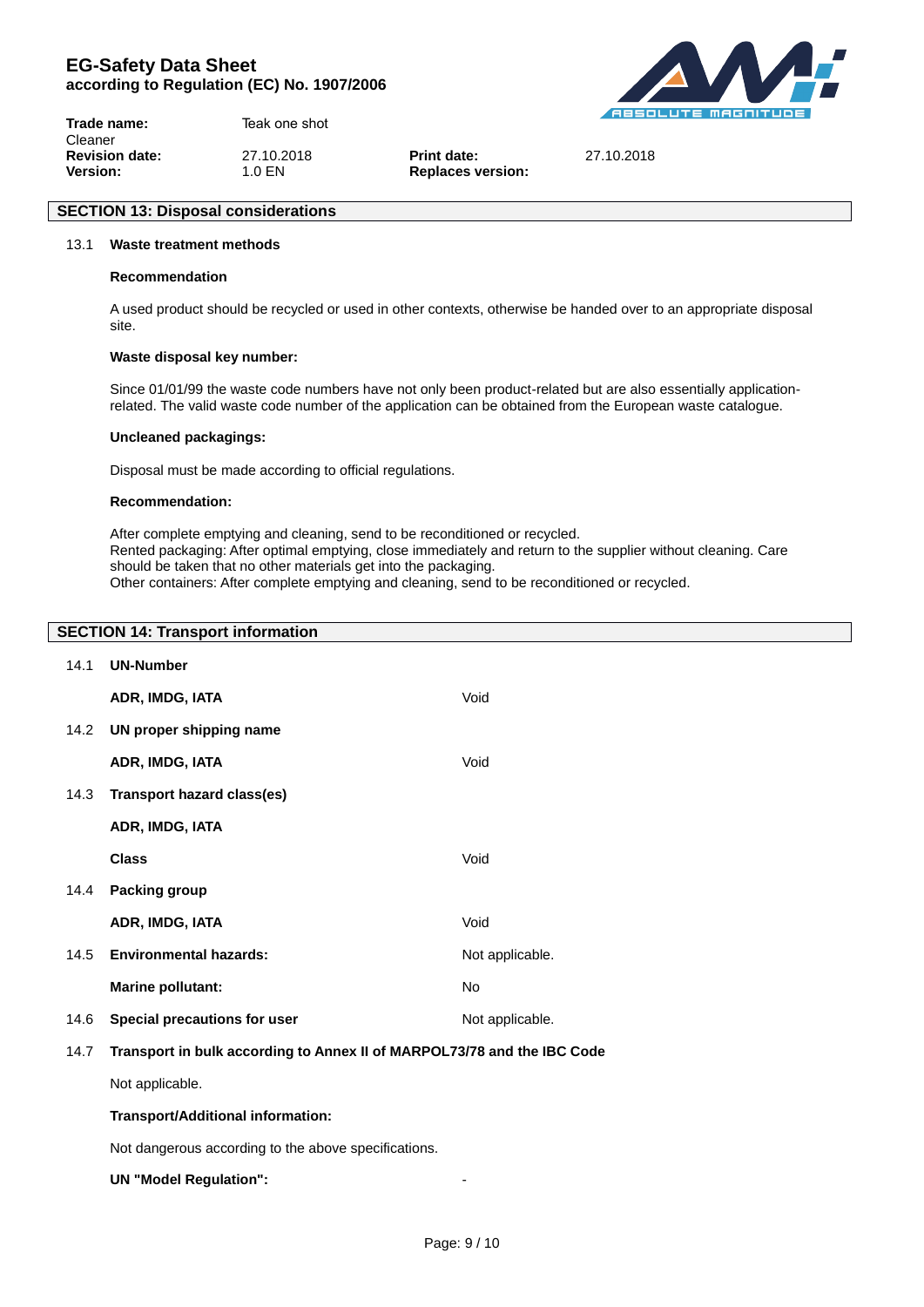**DUIANOX** 

**Trade name:** TeakUnique 1 Step Teak Cleaner **Revision date:** 27.10.2018 **Print date:** 27.10.2018 **Version:** 1.0 EN **Replaces version:** 

# 13.1 **Waste treatment methods**

**SECTION 13: Disposal considerations**

## **Recommendation**

A used product should be recycled or used in other contexts, otherwise be handed over to an appropriate disposal site.

## **Waste disposal key number:**

Since 01/01/99 the waste code numbers have not only been product-related but are also essentially applicationrelated. The valid waste code number of the application can be obtained from the European waste catalogue.

#### **Uncleaned packagings:**

Disposal must be made according to official regulations.

## **Recommendation:**

After complete emptying and cleaning, send to be reconditioned or recycled. Rented packaging: After optimal emptying, close immediately and return to the supplier without cleaning. Care should be taken that no other materials get into the packaging. Other containers: After complete emptying and cleaning, send to be reconditioned or recycled.

## **SECTION 14: Transport information**

| 14.1 | <b>UN-Number</b>                                                        |                 |
|------|-------------------------------------------------------------------------|-----------------|
|      | ADR, IMDG, IATA                                                         | Void            |
| 14.2 | UN proper shipping name                                                 |                 |
|      | ADR, IMDG, IATA                                                         | Void            |
| 14.3 | <b>Transport hazard class(es)</b>                                       |                 |
|      | ADR, IMDG, IATA                                                         |                 |
|      | <b>Class</b>                                                            | Void            |
| 14.4 | <b>Packing group</b>                                                    |                 |
|      | ADR, IMDG, IATA                                                         | Void            |
| 14.5 | <b>Environmental hazards:</b>                                           | Not applicable. |
|      | <b>Marine pollutant:</b>                                                | <b>No</b>       |
| 14.6 | Special precautions for user                                            | Not applicable. |
| 14.7 | Transport in bulk according to Annex II of MARPOL73/78 and the IBC Code |                 |
|      | Not applicable.                                                         |                 |
|      | Transport/Additional information:                                       |                 |
|      | Not dangerous according to the above specifications.                    |                 |
|      | <b>UN "Model Regulation":</b>                                           |                 |